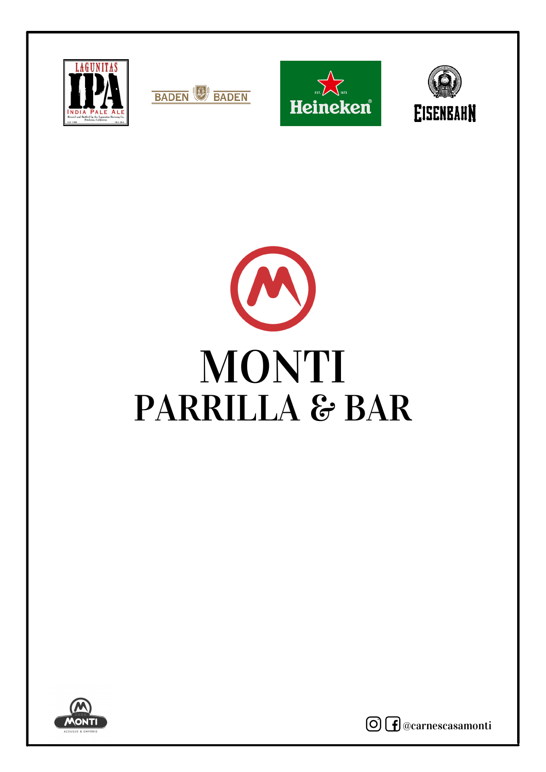











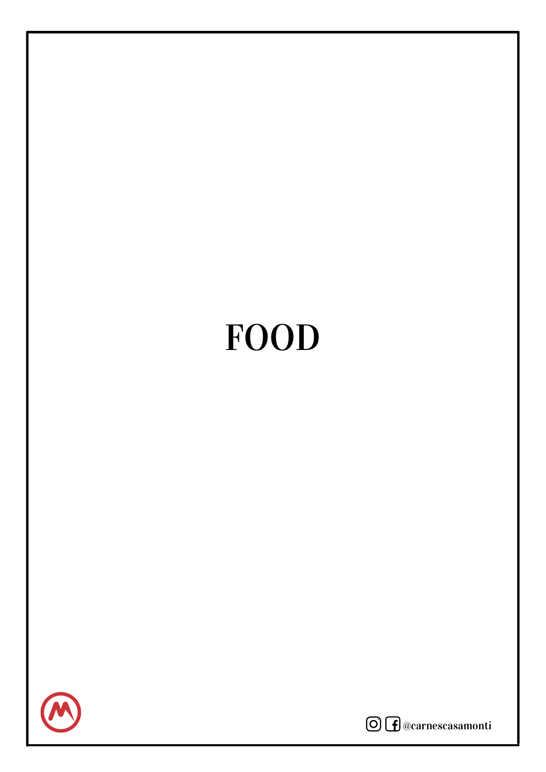# FOOD



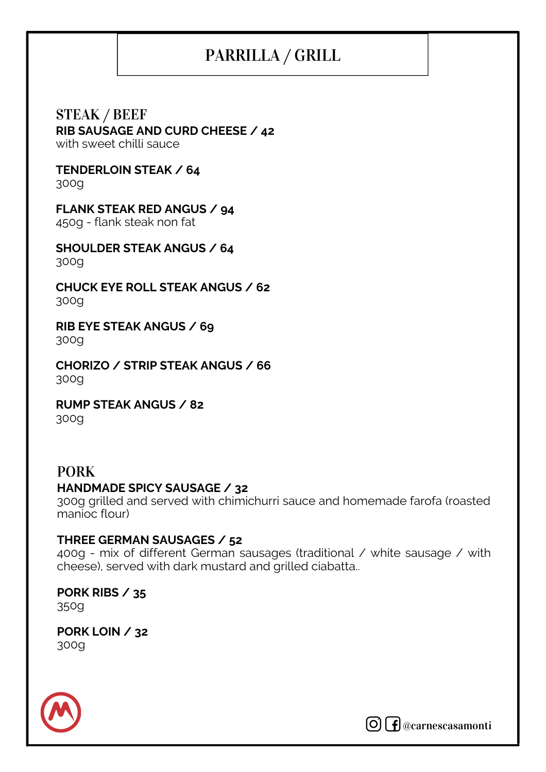# PARRILLA / GRILL

STEAK / BEEF **RIB SAUSAGE AND CURD CHEESE / 42** with sweet chilli sauce

**TENDERLOIN STEAK / 64**

300g

**FLANK STEAK RED ANGUS / 94**

450g - flank steak non fat

**SHOULDER STEAK ANGUS / 64** 300g

**CHUCK EYE ROLL STEAK ANGUS / 62** 300g

**RIB EYE STEAK ANGUS / 69** 300g

**CHORIZO / STRIP STEAK ANGUS / 66** 300g

**RUMP STEAK ANGUS / 82** 300g

## PORK **HANDMADE SPICY SAUSAGE / 32**

300g grilled and served with chimichurri sauce and homemade farofa (roasted manioc flour)

#### **THREE GERMAN SAUSAGES / 52**

400g - mix of different German sausages (traditional / white sausage / with cheese), served with dark mustard and grilled ciabatta..

**PORK RIBS / 35** 350g

**PORK LOIN / 32** 300g



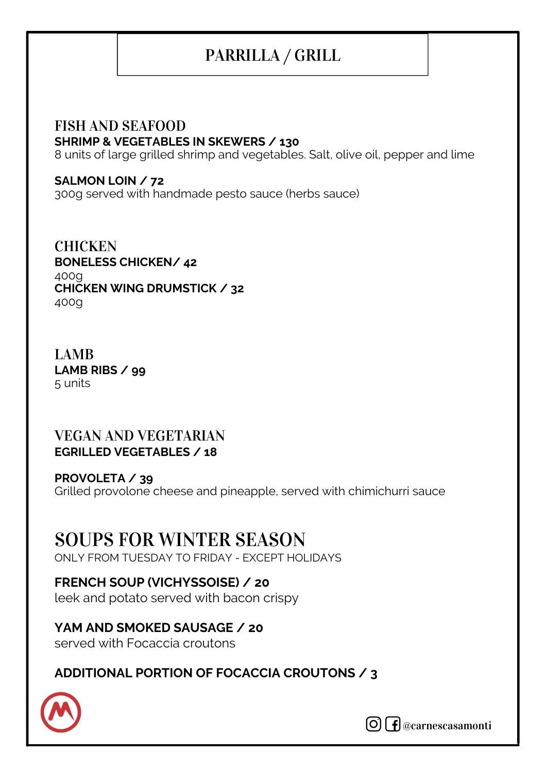# PARRILLA / GRILL

## FISH AND SEAFOOD **SHRIMP & VEGETABLES IN SKEWERS / 130**

8 units of large grilled shrimp and vegetables. Salt, olive oil, pepper and lime

#### **SALMON LOIN / 72**

300g served with handmade pesto sauce (herbs sauce)

**BONELESS CHICKEN/ 42** 400g **CHICKEN WING DRUMSTICK / 32** 400g **CHICKEN** 

#### LAMB **LAMB RIBS / 99** 5 units

#### VEGAN AND VEGETARIAN **EGRILLED VEGETABLES / 18**

**PROVOLETA / 39** Grilled provolone cheese and pineapple, served with chimichurri sauce

# SOUPS FOR WINTER SEASON

ONLY FROM TUESDAY TO FRIDAY - EXCEPT HOLIDAYS

#### **FRENCH SOUP (VICHYSSOISE) / 20**

leek and potato served with bacon crispy

#### **YAM AND SMOKED SAUSAGE / 20** served with Focaccia croutons

### **ADDITIONAL PORTION OF FOCACCIA CROUTONS / 3**



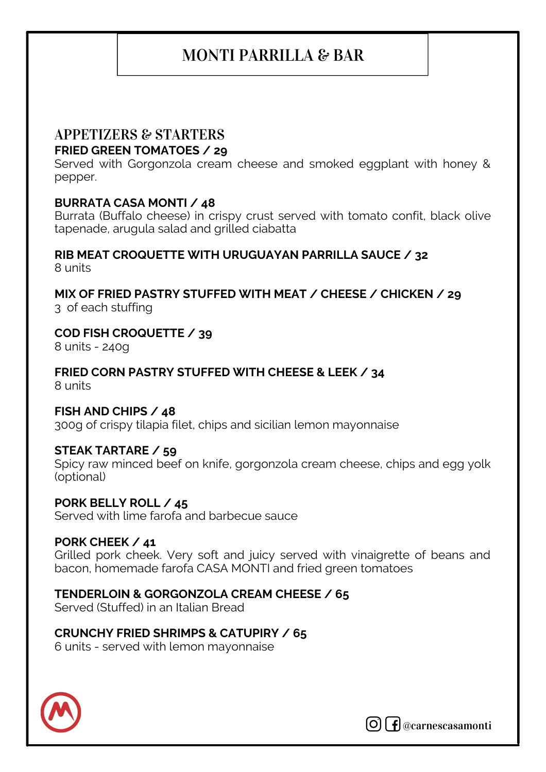## MONTI PARRILLA & BAR

# APPETIZERS & STARTERS

#### **FRIED GREEN TOMATOES / 29**

Served with Gorgonzola cream cheese and smoked eggplant with honey & pepper.

#### **BURRATA CASA MONTI / 48**

Burrata (Buffalo cheese) in crispy crust served with tomato confit, black olive tapenade, arugula salad and grilled ciabatta

#### **RIB MEAT CROQUETTE WITH URUGUAYAN PARRILLA SAUCE / 32** 8 units

**MIX OF FRIED PASTRY STUFFED WITH MEAT / CHEESE / CHICKEN / 29** 3 of each stuffing

#### **COD FISH CROQUETTE / 39**

8 units - 240g

**FRIED CORN PASTRY STUFFED WITH CHEESE & LEEK / 34** 8 units

#### **FISH AND CHIPS / 48**

300g of crispy tilapia filet, chips and sicilian lemon mayonnaise

#### **STEAK TARTARE / 59**

Spicy raw minced beef on knife, gorgonzola cream cheese, chips and egg yolk (optional)

#### **PORK BELLY ROLL / 45**

Served with lime farofa and barbecue sauce

#### **PORK CHEEK / 41**

Grilled pork cheek. Very soft and juicy served with vinaigrette of beans and bacon, homemade farofa CASA MONTI and fried green tomatoes

#### **TENDERLOIN & GORGONZOLA CREAM CHEESE / 65**

Served (Stuffed) in an Italian Bread

#### **CRUNCHY FRIED SHRIMPS & CATUPIRY / 65**

6 units - served with lemon mayonnaise



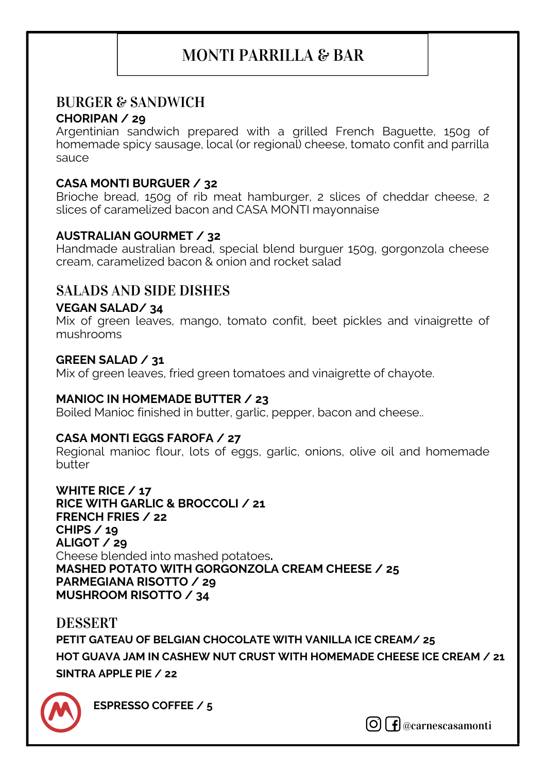## MONTI PARRILLA & BAR

### BURGER & SANDWICH

#### **CHORIPAN / 29**

Argentinian sandwich prepared with a grilled French Baguette, 150g of homemade spicy sausage, local (or regional) cheese, tomato confit and parrilla sauce

#### **CASA MONTI BURGUER / 32**

Brioche bread, 150g of rib meat hamburger, 2 slices of cheddar cheese, 2 slices of caramelized bacon and CASA MONTI mayonnaise

#### **AUSTRALIAN GOURMET / 32**

Handmade australian bread, special blend burguer 150g, gorgonzola cheese cream, caramelized bacon & onion and rocket salad

#### SALADS AND SIDE DISHES

#### **VEGAN SALAD/ 34**

Mix of green leaves, mango, tomato confit, beet pickles and vinaigrette of mushrooms

#### **GREEN SALAD / 31**

Mix of green leaves, fried green tomatoes and vinaigrette of chayote.

#### **MANIOC IN HOMEMADE BUTTER / 23**

Boiled Manioc finished in butter, garlic, pepper, bacon and cheese..

#### **CASA MONTI EGGS FAROFA / 27**

Regional manioc flour, lots of eggs, garlic, onions, olive oil and homemade butter

**WHITE RICE / 17 RICE WITH GARLIC & BROCCOLI / 21 FRENCH FRIES / 22 CHIPS / 19 ALIGOT / 29** Cheese blended into mashed potatoes**. MASHED POTATO WITH GORGONZOLA CREAM CHEESE / 25 PARMEGIANA RISOTTO / 29 MUSHROOM RISOTTO / 34**

DESSERT **PETIT GATEAU OF BELGIAN CHOCOLATE WITH VANILLA ICE CREAM/ 25 HOT GUAVA JAM IN CASHEW NUT CRUST WITH HOMEMADE CHEESE ICE CREAM / 21 SINTRA APPLE PIE / 22**



**ESPRESSO COFFEE / 5**

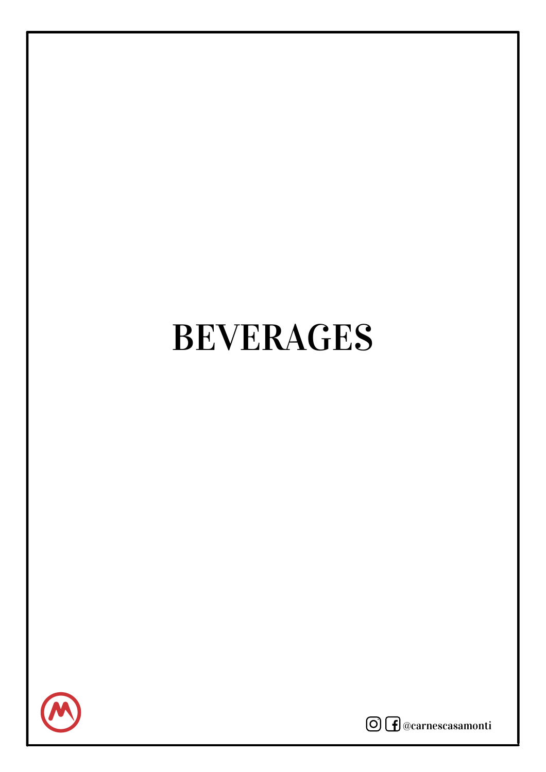# BEVERAGES



@carnescasamonti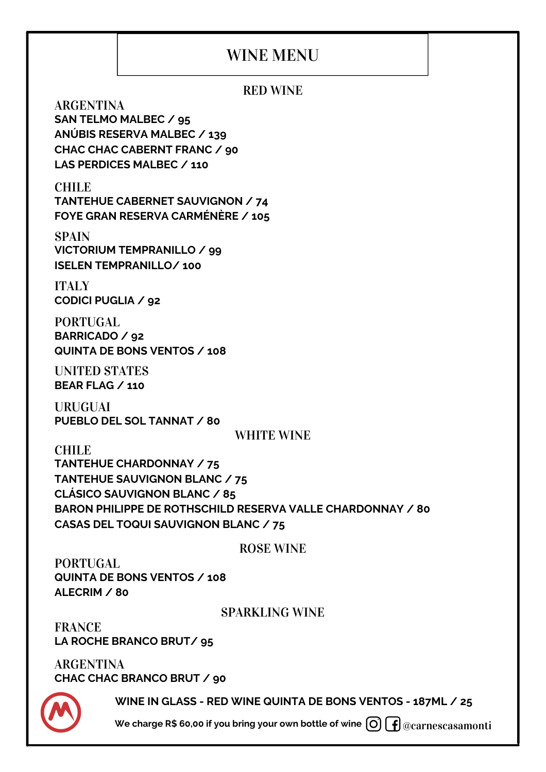## WINE MENU

#### RED WINE

ARGENTINA **SAN TELMO MALBEC / 95 ANÚBIS RESERVA MALBEC / 139 CHAC CHAC CABERNT FRANC / 90 LAS PERDICES MALBEC / 110**

CHILE **TANTEHUE CABERNET SAUVIGNON / 74 FOYE GRAN RESERVA CARMÉNÈRE / 105**

**SPAIN VICTORIUM TEMPRANILLO / 99 ISELEN TEMPRANILLO/ 100**

**ITALY CODICI PUGLIA / 92**

PORTUGAL **BARRICADO / 92 QUINTA DE BONS VENTOS / 108**

UNITED STATES **BEAR FLAG / 110**

URUGUAI **PUEBLO DEL SOL TANNAT / 80**

#### WHITE WINE

CHILE **TANTEHUE CHARDONNAY / 75 TANTEHUE SAUVIGNON BLANC / 75 CLÁSICO SAUVIGNON BLANC / 85 BARON PHILIPPE DE ROTHSCHILD RESERVA VALLE CHARDONNAY / 80 CASAS DEL TOQUI SAUVIGNON BLANC / 75**

#### ROSE WINE

PORTUGAL **QUINTA DE BONS VENTOS / 108 ALECRIM / 80**

#### SPARKLING WINE

FRANCE **LA ROCHE BRANCO BRUT/ 95**

ARGENTINA **CHAC CHAC BRANCO BRUT / 90**

**WINE IN GLASS - RED WINE QUINTA DE BONS VENTOS - 187ML / 25**

@carnescasamonti **We charge R\$ 60,00 if you bring your own bottle of wine**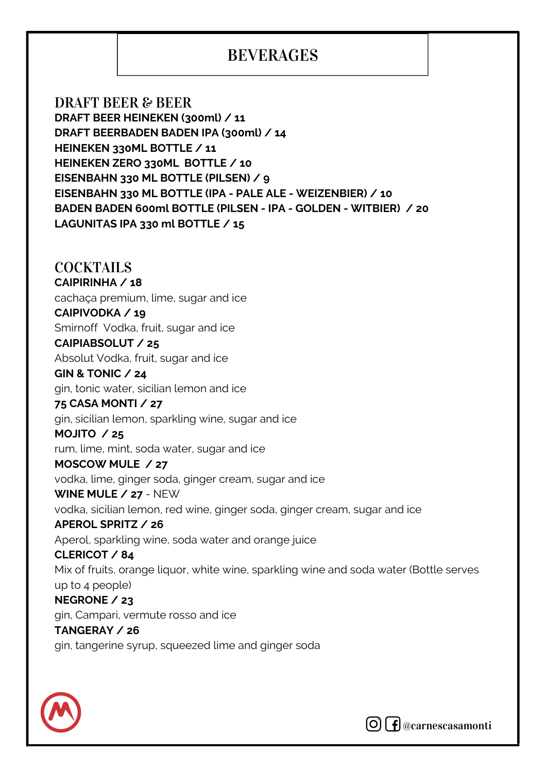## **BEVERAGES**

DRAFT BEER & BEER **DRAFT BEER HEINEKEN (300ml) / 11 DRAFT BEERBADEN BADEN IPA (300ml) / 14 HEINEKEN 330ML BOTTLE / 11 HEINEKEN ZERO 330ML BOTTLE / 10 EISENBAHN 330 ML BOTTLE (PILSEN) / 9 EISENBAHN 330 ML BOTTLE (IPA - PALE ALE - WEIZENBIER) / 10 BADEN BADEN 600ml BOTTLE (PILSEN - IPA - GOLDEN - WITBIER) / 20 LAGUNITAS IPA 330 ml BOTTLE / 15**

#### COCKTAILS

#### **CAIPIRINHA / 18**

cachaça premium, lime, sugar and ice

#### **CAIPIVODKA / 19**

Smirnoff Vodka, fruit, sugar and ice

#### **CAIPIABSOLUT / 25**

Absolut Vodka, fruit, sugar and ice

#### **GIN & TONIC / 24**

gin, tonic water, sicilian lemon and ice

#### **75 CASA MONTI / 27**

gin, sicilian lemon, sparkling wine, sugar and ice

#### **MOJITO / 25**

rum, lime, mint, soda water, sugar and ice

#### **MOSCOW MULE / 27**

vodka, lime, ginger soda, ginger cream, sugar and ice

#### **WINE MULE / 27** - NEW

vodka, sicilian lemon, red wine, ginger soda, ginger cream, sugar and ice

#### **APEROL SPRITZ / 26**

Aperol, sparkling wine, soda water and orange juice

#### **CLERICOT / 84**

Mix of fruits, orange liquor, white wine, sparkling wine and soda water (Bottle serves up to 4 people)

#### **NEGRONE / 23**

gin, Campari, vermute rosso and ice

#### **TANGERAY / 26**

gin, tangerine syrup, squeezed lime and ginger soda